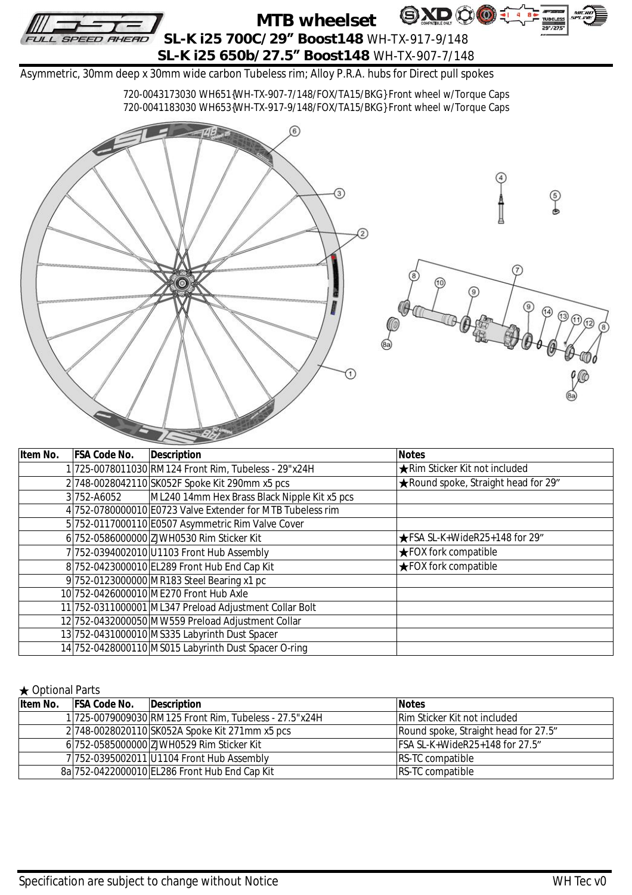

| Item No. | <b>FSA Code No.</b> | <b>Description</b>                                         | <b>Notes</b>                            |
|----------|---------------------|------------------------------------------------------------|-----------------------------------------|
|          |                     | 1 725-0078011030 RM124 Front Rim, Tubeless - 29"x24H       | <b>★Rim Sticker Kit not included</b>    |
|          |                     | 2748-0028042110 SK052F Spoke Kit 290mm x5 pcs              | ★ Round spoke, Straight head for 29"    |
|          | 3752-A6052          | ML240 14mm Hex Brass Black Nipple Kit x5 pcs               |                                         |
|          |                     | 4 752-0780000010 E0723 Valve Extender for MTB Tubeless rim |                                         |
|          |                     | 5 752-0117000110 E0507 Asymmetric Rim Valve Cover          |                                         |
|          |                     | 6 752-0586000000 ZJWH0530 Rim Sticker Kit                  | $\bigstar$ FSA SL-K+WideR25+148 for 29" |
|          |                     | 7 752-0394002010 U1103 Front Hub Assembly                  | <b>★FOX fork compatible</b>             |
|          |                     | 8 752-0423000010 EL289 Front Hub End Cap Kit               | <b>★FOX fork compatible</b>             |
|          |                     | 9 752-0123000000 MR183 Steel Bearing x1 pc                 |                                         |
|          |                     | 10 752-0426000010 ME270 Front Hub Axle                     |                                         |
|          |                     | 11 752-0311000001 ML347 Preload Adjustment Collar Bolt     |                                         |
|          |                     | 12 752-0432000050 MW559 Preload Adjustment Collar          |                                         |
|          |                     | 13 752-0431000010 MS335 Labyrinth Dust Spacer              |                                         |
|          |                     | 14 752-0428000110 MS015 Labyrinth Dust Spacer O-ring       |                                         |

## ★ Optional Parts

| Item No. | <b>FSA Code No.</b> | Description                                            | <b>Notes</b>                         |  |  |
|----------|---------------------|--------------------------------------------------------|--------------------------------------|--|--|
|          |                     | 1 725-0079009030 RM125 Front Rim, Tubeless - 27.5"x24H | <b>Rim Sticker Kit not included</b>  |  |  |
|          |                     | 2/748-0028020110/SK052A Spoke Kit 271mm x5 pcs         | Round spoke, Straight head for 27.5" |  |  |
|          |                     | 6 752-0585000000 ZJWH0529 Rim Sticker Kit              | $FSA SL-K+WideR25+148$ for 27.5"     |  |  |
|          |                     | 7 752-0395002011 U1104 Front Hub Assembly              | <b>RS-TC compatible</b>              |  |  |
|          |                     | 8a 752-0422000010 EL286 Front Hub End Cap Kit          | <b>RS-TC compatible</b>              |  |  |